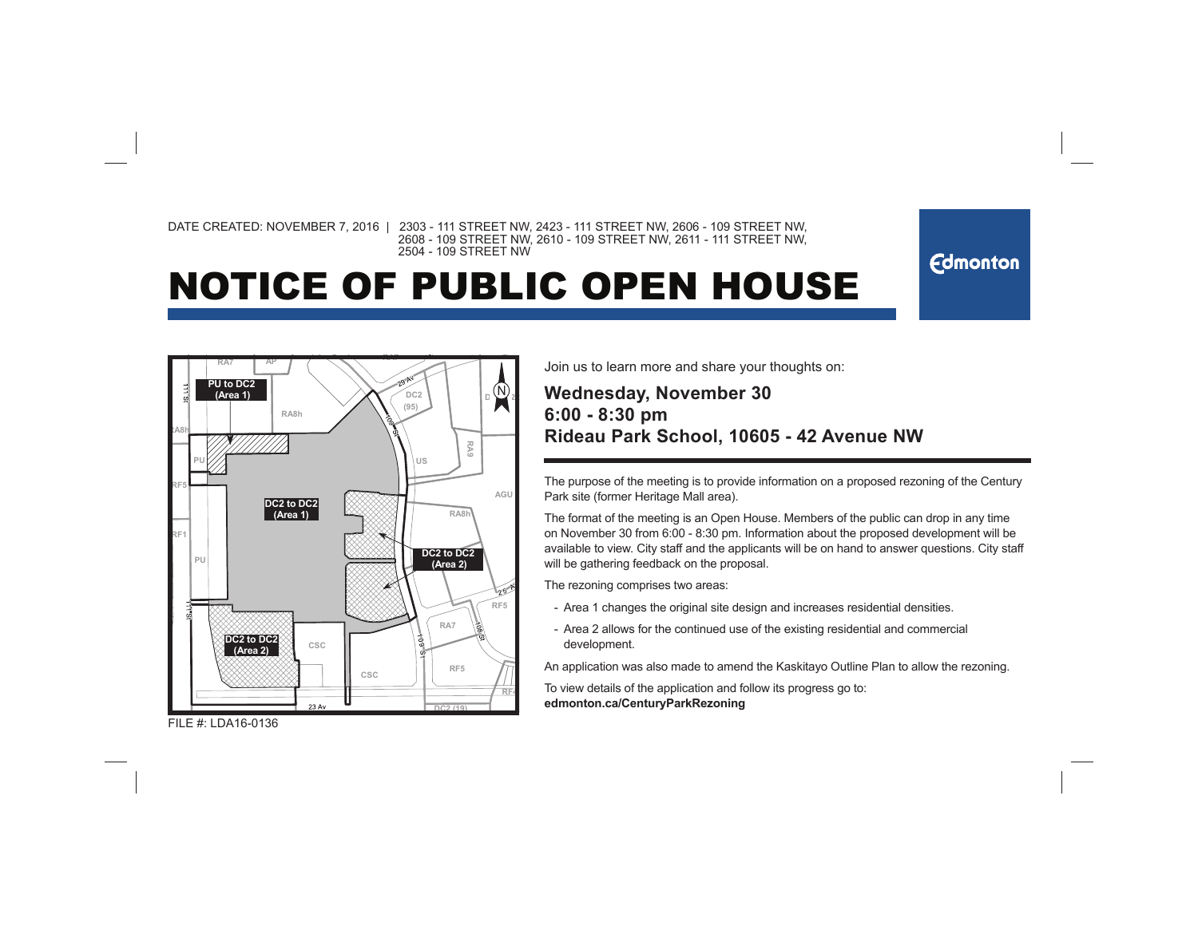DATE CREATED: NOVEMBER 7, 2016 | 2303 - 111 STREET NW, 2423 - 111 STREET NW, 2606 - 109 STREET NW, 2608 - 109 STREET NW, 2610 - 109 STREET NW, 2611 - 111 STREET NW, 2504 - 109 STREET NW

## NOTICE OF PUBLIC OPEN HOUSE



Join us to learn more and share your thoughts on:

## **Wednesday, November 30 6:00 - 8:30 pm Rideau Park School, 10605 - 42 Avenue NW**

The purpose of the meeting is to provide information on a proposed rezoning of the Century Park site (former Heritage Mall area).

**Edmonton** 

The format of the meeting is an Open House. Members of the public can drop in any time on November 30 from 6:00 - 8:30 pm. Information about the proposed development will be available to view. City staff and the applicants will be on hand to answer questions. City staff will be gathering feedback on the proposal.

The rezoning comprises two areas:

- Area 1 changes the original site design and increases residential densities.
- Area 2 allows for the continued use of the existing residential and commercialdevelopment.

An application was also made to amend the Kaskitayo Outline Plan to allow the rezoning.

To view details of the application and follow its progress go to:**edmonton.ca/CenturyParkRezoning**